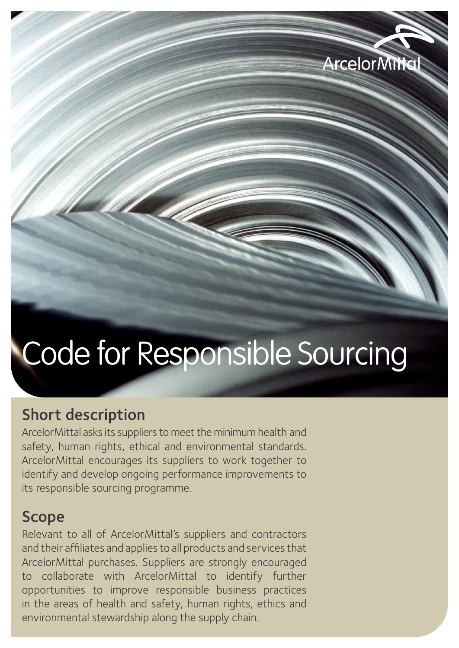

# Code for Responsible Sourcing

## Short description

ArcelorMittal asks its suppliers to meet the minimum health and safety, human rights, ethical and environmental standards. ArcelorMittal encourages its suppliers to work together to identify and develop ongoing performance improvements to its responsible sourcing programme.

### Scope

Relevant to all of ArcelorMittal's suppliers and contractors and their affiliates and applies to all products and services that ArcelorMittal purchases. Suppliers are strongly encouraged to collaborate with ArcelorMittal to identify further opportunities to improve responsible business practices in the areas of health and safety, human rights, ethics and environmental stewardship along the supply chain.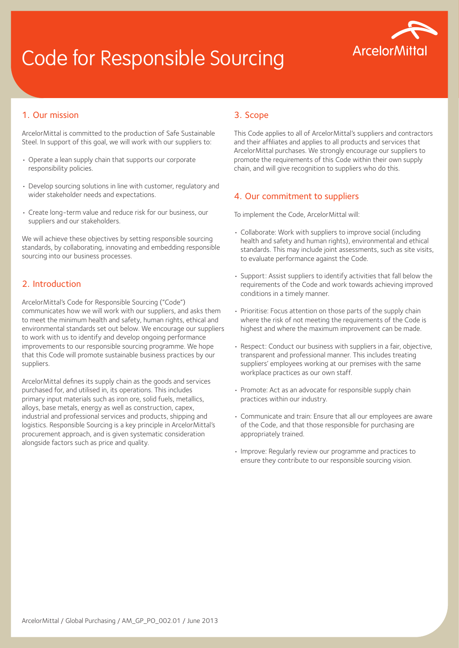# Code for Responsible Sourcing



#### 1. Our mission

ArcelorMittal is committed to the production of Safe Sustainable Steel. In support of this goal, we will work with our suppliers to:

- Operate a lean supply chain that supports our corporate responsibility policies.
- Develop sourcing solutions in line with customer, regulatory and wider stakeholder needs and expectations.
- Create long-term value and reduce risk for our business, our suppliers and our stakeholders.

We will achieve these objectives by setting responsible sourcing standards, by collaborating, innovating and embedding responsible sourcing into our business processes.

#### 2. Introduction

ArcelorMittal's Code for Responsible Sourcing ("Code") communicates how we will work with our suppliers, and asks them to meet the minimum health and safety, human rights, ethical and environmental standards set out below. We encourage our suppliers to work with us to identify and develop ongoing performance improvements to our responsible sourcing programme. We hope that this Code will promote sustainable business practices by our suppliers.

ArcelorMittal defines its supply chain as the goods and services purchased for, and utilised in, its operations. This includes primary input materials such as iron ore, solid fuels, metallics, alloys, base metals, energy as well as construction, capex, industrial and professional services and products, shipping and logistics. Responsible Sourcing is a key principle in ArcelorMittal's procurement approach, and is given systematic consideration alongside factors such as price and quality.

#### 3. Scope

This Code applies to all of ArcelorMittal's suppliers and contractors and their affiliates and applies to all products and services that ArcelorMittal purchases. We strongly encourage our suppliers to promote the requirements of this Code within their own supply chain, and will give recognition to suppliers who do this.

#### 4. Our commitment to suppliers

To implement the Code, ArcelorMittal will:

- Collaborate: Work with suppliers to improve social (including health and safety and human rights), environmental and ethical standards. This may include joint assessments, such as site visits, to evaluate performance against the Code.
- Support: Assist suppliers to identify activities that fall below the requirements of the Code and work towards achieving improved conditions in a timely manner.
- Prioritise: Focus attention on those parts of the supply chain where the risk of not meeting the requirements of the Code is highest and where the maximum improvement can be made.
- Respect: Conduct our business with suppliers in a fair, objective, transparent and professional manner. This includes treating suppliers' employees working at our premises with the same workplace practices as our own staff.
- Promote: Act as an advocate for responsible supply chain practices within our industry.
- Communicate and train: Ensure that all our employees are aware of the Code, and that those responsible for purchasing are appropriately trained.
- Improve: Regularly review our programme and practices to ensure they contribute to our responsible sourcing vision.